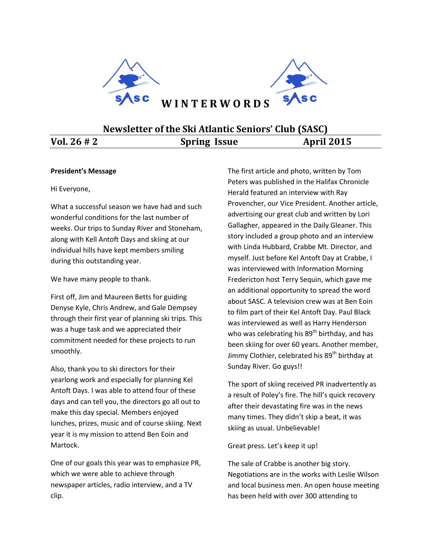

# **Newsletter of the Ski Atlantic Seniors' Club (SASC) Vol. 26 # 2 Spring Issue April 2015**

### **President's Message**

Hi Everyone,

What a successful season we have had and such wonderful conditions for the last number of weeks. Our trips to Sunday River and Stoneham, along with Kell Antoft Days and skiing at our individual hills have kept members smiling during this outstanding year.

We have many people to thank.

First off, Jim and Maureen Betts for guiding Denyse Kyle, Chris Andrew, and Gale Dempsey through their first year of planning ski trips. This was a huge task and we appreciated their commitment needed for these projects to run smoothly.

Also, thank you to ski directors for their yearlong work and especially for planning Kel Antoft Days. I was able to attend four of these days and can tell you, the directors go all out to make this day special. Members enjoyed lunches, prizes, music and of course skiing. Next year it is my mission to attend Ben Eoin and Martock.

One of our goals this year was to emphasize PR, which we were able to achieve through newspaper articles, radio interview, and a TV clip.

The first article and photo, written by Tom Peters was published in the Halifax Chronicle Herald featured an interview with Ray Provencher, our Vice President. Another article, advertising our great club and written by Lori Gallagher, appeared in the Daily Gleaner. This story included a group photo and an interview with Linda Hubbard, Crabbe Mt. Director, and myself. Just before Kel Antoft Day at Crabbe, I was interviewed with Information Morning Fredericton host Terry Sequin, which gave me an additional opportunity to spread the word about SASC. A television crew was at Ben Eoin to film part of their Kel Antoft Day. Paul Black was interviewed as well as Harry Henderson who was celebrating his  $89<sup>th</sup>$  birthday, and has been skiing for over 60 years. Another member, Jimmy Clothier, celebrated his 89<sup>th</sup> birthday at Sunday River. Go guys!!

The sport of skiing received PR inadvertently as a result of Poley's fire. The hill's quick recovery after their devastating fire was in the news many times. They didn't skip a beat, it was skiing as usual. Unbelievable!

Great press. Let's keep it up!

The sale of Crabbe is another big story. Negotiations are in the works with Leslie Wilson and local business men. An open house meeting has been held with over 300 attending to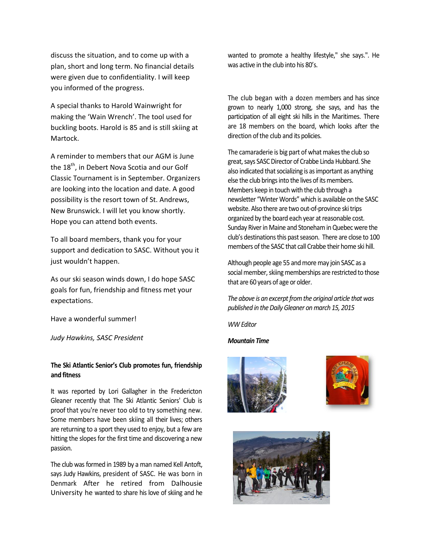discuss the situation, and to come up with a plan, short and long term. No financial details were given due to confidentiality. I will keep you informed of the progress.

A special thanks to Harold Wainwright for making the 'Wain Wrench'. The tool used for buckling boots. Harold is 85 and is still skiing at Martock.

A reminder to members that our AGM is June the 18<sup>th</sup>, in Debert Nova Scotia and our Golf Classic Tournament is in September. Organizers are looking into the location and date. A good possibility is the resort town of St. Andrews, New Brunswick. I will let you know shortly. Hope you can attend both events.

To all board members, thank you for your support and dedication to SASC. Without you it just wouldn't happen.

As our ski season winds down, I do hope SASC goals for fun, friendship and fitness met your expectations.

Have a wonderful summer!

*Judy Hawkins, SASC President* 

### **The Ski Atlantic Senior's Club promotes fun, friendship and fitness**

It was reported by Lori Gallagher in the Fredericton Gleaner recently that The Ski Atlantic Seniors' Club is proof that you're never too old to try something new. Some members have been skiing all their lives; others are returning to a sport they used to enjoy, but a few are hitting the slopes for the first time and discovering a new passion.

The club was formed in 1989 by a man named Kell Antoft, says Judy Hawkins, president of SASC. He was born in Denmark After he retired from Dalhousie University he wanted to share his love of skiing and he wanted to promote a healthy lifestyle," she says.". He was active in the club into his 80's.

The club began with a dozen members and has since grown to nearly 1,000 strong, she says, and has the participation of all eight ski hills in the Maritimes. There are 18 members on the board, which looks after the direction of the club and its policies.

The camaraderie is big part of what makes the club so great, says SASC Director of Crabbe Linda Hubbard. She also indicated that socializing is as important as anything else the club brings into the lives of its members. Members keep in touch with the club through a newsletter "Winter Words" which is available on the SASC website. Also there are two out-of-province ski trips organized by the board each year at reasonable cost. Sunday River in Maine and Stoneham in Quebec were the club's destinations this past season. There are close to 100 members of the SASC that call Crabbe their home ski hill.

Although people age 55 and more may join SASC as a social member, skiing memberships are restricted to those that are 60 years of age or older.

*The above is an excerpt from the original article that was published in the Daily Gleaner on march 15, 2015* 

*WW Editor*

### *Mountain Time*





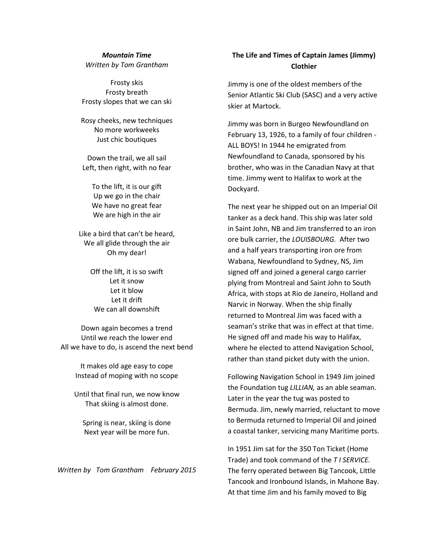# *Mountain Time Written by Tom Grantham*

Frosty skis Frosty breath Frosty slopes that we can ski

Rosy cheeks, new techniques No more workweeks Just chic boutiques

Down the trail, we all sail Left, then right, with no fear

> To the lift, it is our gift Up we go in the chair We have no great fear We are high in the air

Like a bird that can't be heard, We all glide through the air Oh my dear!

> Off the lift, it is so swift Let it snow Let it blow Let it drift We can all downshift

Down again becomes a trend Until we reach the lower end All we have to do, is ascend the next bend

> It makes old age easy to cope Instead of moping with no scope

> Until that final run, we now know That skiing is almost done.

Spring is near, skiing is done Next year will be more fun.

*Written by Tom Grantham February 2015*

# **The Life and Times of Captain James (Jimmy) Clothier**

Jimmy is one of the oldest members of the Senior Atlantic Ski Club (SASC) and a very active skier at Martock.

Jimmy was born in Burgeo Newfoundland on February 13, 1926, to a family of four children - ALL BOYS! In 1944 he emigrated from Newfoundland to Canada, sponsored by his brother, who was in the Canadian Navy at that time. Jimmy went to Halifax to work at the Dockyard.

The next year he shipped out on an Imperial Oil tanker as a deck hand. This ship was later sold in Saint John, NB and Jim transferred to an iron ore bulk carrier, the *LOUISBOURG.* After two and a half years transporting iron ore from Wabana, Newfoundland to Sydney, NS, Jim signed off and joined a general cargo carrier plying from Montreal and Saint John to South Africa, with stops at Rio de Janeiro, Holland and Narvic in Norway. When the ship finally returned to Montreal Jim was faced with a seaman's strike that was in effect at that time. He signed off and made his way to Halifax, where he elected to attend Navigation School, rather than stand picket duty with the union.

Following Navigation School in 1949 Jim joined the Foundation tug *LILLIAN,* as an able seaman. Later in the year the tug was posted to Bermuda. Jim, newly married, reluctant to move to Bermuda returned to Imperial Oil and joined a coastal tanker, servicing many Maritime ports.

In 1951 Jim sat for the 350 Ton Ticket (Home Trade) and took command of the *T I SERVICE.*  The ferry operated between Big Tancook, Little Tancook and Ironbound Islands, in Mahone Bay. At that time Jim and his family moved to Big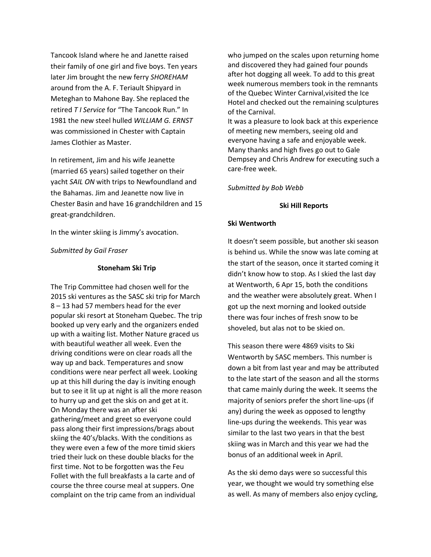Tancook Island where he and Janette raised their family of one girl and five boys. Ten years later Jim brought the new ferry *SHOREHAM* around from the A. F. Teriault Shipyard in Meteghan to Mahone Bay. She replaced the retired *T I Service* for "The Tancook Run." In 1981 the new steel hulled *WILLIAM G. ERNST*  was commissioned in Chester with Captain James Clothier as Master.

In retirement, Jim and his wife Jeanette (married 65 years) sailed together on their yacht *SAIL ON* with trips to Newfoundland and the Bahamas. Jim and Jeanette now live in Chester Basin and have 16 grandchildren and 15 great-grandchildren.

In the winter skiing is Jimmy's avocation.

### *Submitted by Gail Fraser*

### **Stoneham Ski Trip**

The Trip Committee had chosen well for the 2015 ski ventures as the SASC ski trip for March 8 – 13 had 57 members head for the ever popular ski resort at Stoneham Quebec. The trip booked up very early and the organizers ended up with a waiting list. Mother Nature graced us with beautiful weather all week. Even the driving conditions were on clear roads all the way up and back. Temperatures and snow conditions were near perfect all week. Looking up at this hill during the day is inviting enough but to see it lit up at night is all the more reason to hurry up and get the skis on and get at it. On Monday there was an after ski gathering/meet and greet so everyone could pass along their first impressions/brags about skiing the 40's/blacks. With the conditions as they were even a few of the more timid skiers tried their luck on these double blacks for the first time. Not to be forgotten was the Feu Follet with the full breakfasts a la carte and of course the three course meal at suppers. One complaint on the trip came from an individual

who jumped on the scales upon returning home and discovered they had gained four pounds after hot dogging all week. To add to this great week numerous members took in the remnants of the Quebec Winter Carnival,visited the Ice Hotel and checked out the remaining sculptures of the Carnival.

It was a pleasure to look back at this experience of meeting new members, seeing old and everyone having a safe and enjoyable week. Many thanks and high fives go out to Gale Dempsey and Chris Andrew for executing such a care-free week.

### *Submitted by Bob Webb*

#### **Ski Hill Reports**

### **Ski Wentworth**

It doesn't seem possible, but another ski season is behind us. While the snow was late coming at the start of the season, once it started coming it didn't know how to stop. As I skied the last day at Wentworth, 6 Apr 15, both the conditions and the weather were absolutely great. When I got up the next morning and looked outside there was four inches of fresh snow to be shoveled, but alas not to be skied on.

This season there were 4869 visits to Ski Wentworth by SASC members. This number is down a bit from last year and may be attributed to the late start of the season and all the storms that came mainly during the week. It seems the majority of seniors prefer the short line-ups (if any) during the week as opposed to lengthy line-ups during the weekends. This year was similar to the last two years in that the best skiing was in March and this year we had the bonus of an additional week in April.

As the ski demo days were so successful this year, we thought we would try something else as well. As many of members also enjoy cycling,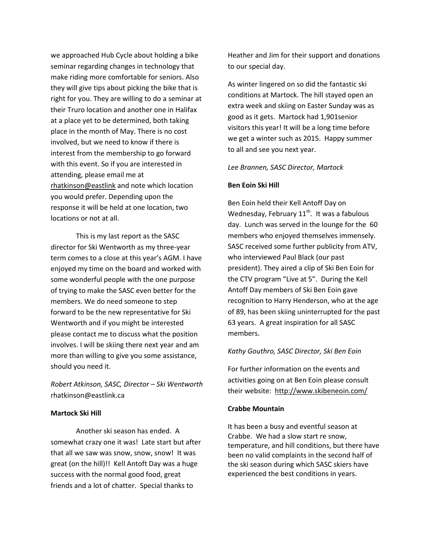we approached Hub Cycle about holding a bike seminar regarding changes in technology that make riding more comfortable for seniors. Also they will give tips about picking the bike that is right for you. They are willing to do a seminar at their Truro location and another one in Halifax at a place yet to be determined, both taking place in the month of May. There is no cost involved, but we need to know if there is interest from the membership to go forward with this event. So if you are interested in attending, please email me at [rhatkinson@eastlink](mailto:rhatkinson@eastlink) and note which location you would prefer. Depending upon the response it will be held at one location, two locations or not at all.

This is my last report as the SASC director for Ski Wentworth as my three-year term comes to a close at this year's AGM. I have enjoyed my time on the board and worked with some wonderful people with the one purpose of trying to make the SASC even better for the members. We do need someone to step forward to be the new representative for Ski Wentworth and if you might be interested please contact me to discuss what the position involves. I will be skiing there next year and am more than willing to give you some assistance, should you need it.

*Robert Atkinson, SASC, Director – Ski Wentworth* rhatkinson@eastlink.ca

### **Martock Ski Hill**

Another ski season has ended. A somewhat crazy one it was! Late start but after that all we saw was snow, snow, snow! It was great (on the hill)!! Kell Antoft Day was a huge success with the normal good food, great friends and a lot of chatter. Special thanks to

Heather and Jim for their support and donations to our special day.

As winter lingered on so did the fantastic ski conditions at Martock. The hill stayed open an extra week and skiing on Easter Sunday was as good as it gets. Martock had 1,901senior visitors this year! It will be a long time before we get a winter such as 2015. Happy summer to all and see you next year.

*Lee Brannen, SASC Director, Martock*

### **Ben Eoin Ski Hill**

Ben Eoin held their Kell Antoff Day on Wednesday, February 11<sup>th</sup>. It was a fabulous day. Lunch was served in the lounge for the 60 members who enjoyed themselves immensely. SASC received some further publicity from ATV, who interviewed Paul Black (our past president). They aired a clip of Ski Ben Eoin for the CTV program "Live at 5". During the Kell Antoff Day members of Ski Ben Eoin gave recognition to Harry Henderson, who at the age of 89, has been skiing uninterrupted for the past 63 years. A great inspiration for all SASC members.

### *Kathy Gouthro, SASC Director, Ski Ben Eoin*

For further information on the events and activities going on at Ben Eoin please consult their website:<http://www.skibeneoin.com/>

#### **Crabbe Mountain**

It has been a busy and eventful season at Crabbe. We had a slow start re snow, temperature, and hill conditions, but there have been no valid complaints in the second half of the ski season during which SASC skiers have experienced the best conditions in years.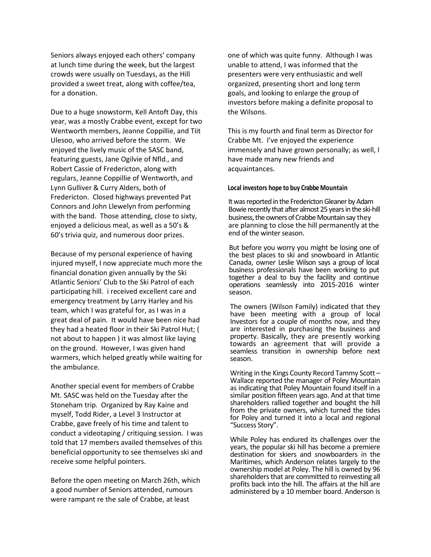Seniors always enjoyed each others' company at lunch time during the week, but the largest crowds were usually on Tuesdays, as the Hill provided a sweet treat, along with coffee/tea, for a donation.

Due to a huge snowstorm, Kell Antoft Day, this year, was a mostly Crabbe event, except for two Wentworth members, Jeanne Coppillie, and Tiit Ulesoo, who arrived before the storm. We enjoyed the lively music of the SASC band, featuring guests, Jane Ogilvie of Nfld., and Robert Cassie of Fredericton, along with regulars, Jeanne Coppillie of Wentworth, and Lynn Gulliver & Curry Alders, both of Fredericton. Closed highways prevented Pat Connors and John Llewelyn from performing with the band. Those attending, close to sixty, enjoyed a delicious meal, as well as a 50's & 60's trivia quiz, and numerous door prizes.

Because of my personal experience of having injured myself, I now appreciate much more the financial donation given annually by the Ski Atlantic Seniors' Club to the Ski Patrol of each participating hill. i received excellent care and emergency treatment by Larry Harley and his team, which I was grateful for, as I was in a great deal of pain. It would have been nice had they had a heated floor in their Ski Patrol Hut; ( not about to happen ) it was almost like laying on the ground. However, I was given hand warmers, which helped greatly while waiting for the ambulance.

Another special event for members of Crabbe Mt. SASC was held on the Tuesday after the Stoneham trip. Organized by Ray Kaine and myself, Todd Rider, a Level 3 Instructor at Crabbe, gave freely of his time and talent to conduct a videotaping / critiquing session. I was told that 17 members availed themselves of this beneficial opportunity to see themselves ski and receive some helpful pointers.

Before the open meeting on March 26th, which a good number of Seniors attended, rumours were rampant re the sale of Crabbe, at least

one of which was quite funny. Although I was unable to attend, I was informed that the presenters were very enthusiastic and well organized, presenting short and long term goals, and looking to enlarge the group of investors before making a definite proposal to the Wilsons.

This is my fourth and final term as Director for Crabbe Mt. I've enjoyed the experience immensely and have grown personally; as well, I have made many new friends and acquaintances.

#### **Local investors hope to buy Crabbe Mountain**

It was reported in the Fredericton Gleaner by Adam Bowie recently that after almost 25 years in the ski-hill business, the owners of Crabbe Mountain say they are planning to close the hill permanently at the end of the winter season.

But before you worry you might be losing one of the best places to ski and snowboard in Atlantic Canada, owner Leslie Wilson says a group of local business professionals have been working to put together a deal to buy the facility and continue operations seamlessly into 2015-2016 winter season.

The owners (Wilson Family) indicated that they have been meeting with a group of local Investors for a couple of months now, and they are interested in purchasing the business and property. Basically, they are presently working towards an agreement that will provide a seamless transition in ownership before next season.

Writing in the Kings County Record Tammy Scott – Wallace reported the manager of Poley Mountain as indicating that Poley Mountain found itself in a similar position fifteen years ago. And at that time shareholders rallied together and bought the hill from the private owners, which turned the tides for Poley and turned it into a local and regional "Success Story".

While Poley has endured its challenges over the years, the popular ski hill has become a premiere destination for skiers and snowboarders in the Maritimes, which Anderson relates largely to the ownership model at Poley. The hill is owned by 96 shareholders that are committed to reinvesting all profits back into the hill. The affairs at the hill are administered by a 10 member board. Anderson is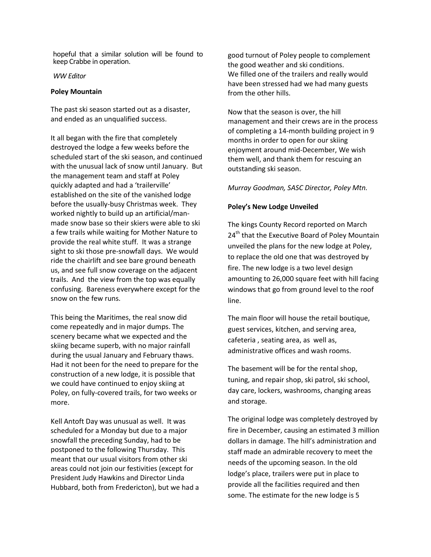hopeful that a similar solution will be found to keep Crabbe in operation.

### *WW Editor*

### **Poley Mountain**

The past ski season started out as a disaster, and ended as an unqualified success.

It all began with the fire that completely destroyed the lodge a few weeks before the scheduled start of the ski season, and continued with the unusual lack of snow until January. But the management team and staff at Poley quickly adapted and had a 'trailerville' established on the site of the vanished lodge before the usually-busy Christmas week. They worked nightly to build up an artificial/manmade snow base so their skiers were able to ski a few trails while waiting for Mother Nature to provide the real white stuff. It was a strange sight to ski those pre-snowfall days. We would ride the chairlift and see bare ground beneath us, and see full snow coverage on the adjacent trails. And the view from the top was equally confusing. Bareness everywhere except for the snow on the few runs.

This being the Maritimes, the real snow did come repeatedly and in major dumps. The scenery became what we expected and the skiing became superb, with no major rainfall during the usual January and February thaws. Had it not been for the need to prepare for the construction of a new lodge, it is possible that we could have continued to enjoy skiing at Poley, on fully-covered trails, for two weeks or more.

Kell Antoft Day was unusual as well. It was scheduled for a Monday but due to a major snowfall the preceding Sunday, had to be postponed to the following Thursday. This meant that our usual visitors from other ski areas could not join our festivities (except for President Judy Hawkins and Director Linda Hubbard, both from Fredericton), but we had a

good turnout of Poley people to complement the good weather and ski conditions. We filled one of the trailers and really would have been stressed had we had many guests from the other hills.

Now that the season is over, the hill management and their crews are in the process of completing a 14-month building project in 9 months in order to open for our skiing enjoyment around mid-December, We wish them well, and thank them for rescuing an outstanding ski season.

*Murray Goodman, SASC Director, Poley Mtn.* 

### **Poley's New Lodge Unveiled**

The kings County Record reported on March 24<sup>th</sup> that the Executive Board of Poley Mountain unveiled the plans for the new lodge at Poley, to replace the old one that was destroyed by fire. The new lodge is a two level design amounting to 26,000 square feet with hill facing windows that go from ground level to the roof line.

The main floor will house the retail boutique, guest services, kitchen, and serving area, cafeteria , seating area, as well as, administrative offices and wash rooms.

The basement will be for the rental shop, tuning, and repair shop, ski patrol, ski school, day care, lockers, washrooms, changing areas and storage.

The original lodge was completely destroyed by fire in December, causing an estimated 3 million dollars in damage. The hill's administration and staff made an admirable recovery to meet the needs of the upcoming season. In the old lodge's place, trailers were put in place to provide all the facilities required and then some. The estimate for the new lodge is 5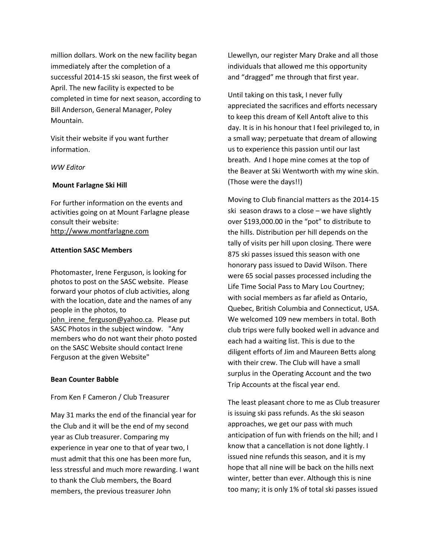million dollars. Work on the new facility began immediately after the completion of a successful 2014-15 ski season, the first week of April. The new facility is expected to be completed in time for next season, according to Bill Anderson, General Manager, Poley Mountain.

Visit their website if you want further information.

#### *WW Editor*

#### **Mount Farlagne Ski Hill**

For further information on the events and activities going on at Mount Farlagne please consult their website: [http://www.montfarlagne.com](http://www.montfarlagne.com/)

#### **Attention SASC Members**

Photomaster, Irene Ferguson, is looking for photos to post on the SASC website. Please forward your photos of club activities, along with the location, date and the names of any people in the photos, to john irene ferguson@yahoo.ca. Please put SASC Photos in the subject window. "Any members who do not want their photo posted on the SASC Website should contact Irene Ferguson at the given Website"

### **Bean Counter Babble**

#### From Ken F Cameron / Club Treasurer

May 31 marks the end of the financial year for the Club and it will be the end of my second year as Club treasurer. Comparing my experience in year one to that of year two, I must admit that this one has been more fun, less stressful and much more rewarding. I want to thank the Club members, the Board members, the previous treasurer John

Llewellyn, our register Mary Drake and all those individuals that allowed me this opportunity and "dragged" me through that first year.

Until taking on this task, I never fully appreciated the sacrifices and efforts necessary to keep this dream of Kell Antoft alive to this day. It is in his honour that I feel privileged to, in a small way; perpetuate that dream of allowing us to experience this passion until our last breath. And I hope mine comes at the top of the Beaver at Ski Wentworth with my wine skin. (Those were the days!!)

Moving to Club financial matters as the 2014-15 ski season draws to a close – we have slightly over \$193,000.00 in the "pot" to distribute to the hills. Distribution per hill depends on the tally of visits per hill upon closing. There were 875 ski passes issued this season with one honorary pass issued to David Wilson. There were 65 social passes processed including the Life Time Social Pass to Mary Lou Courtney; with social members as far afield as Ontario, Quebec, British Columbia and Connecticut, USA. We welcomed 109 new members in total. Both club trips were fully booked well in advance and each had a waiting list. This is due to the diligent efforts of Jim and Maureen Betts along with their crew. The Club will have a small surplus in the Operating Account and the two Trip Accounts at the fiscal year end.

The least pleasant chore to me as Club treasurer is issuing ski pass refunds. As the ski season approaches, we get our pass with much anticipation of fun with friends on the hill; and I know that a cancellation is not done lightly. I issued nine refunds this season, and it is my hope that all nine will be back on the hills next winter, better than ever. Although this is nine too many; it is only 1% of total ski passes issued